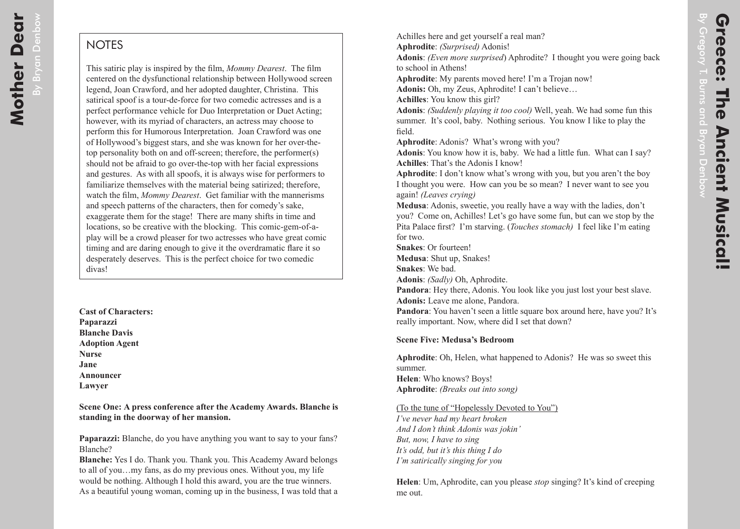## **NOTES**

This satiric play is inspired by the film, *Mommy Dearest*. The film centered on the dysfunctional relationship between Hollywood screen legend, Joan Crawford, and her adopted daughter, Christina. This satirical spoof is a tour-de-force for two comedic actresses and is a perfect performance vehicle for Duo Interpretation or Duet Acting; however, with its myriad of characters, an actress may choose to perform this for Humorous Interpretation. Joan Crawford was one of Hollywood's biggest stars, and she was known for her over-thetop personality both on and off-screen; therefore, the performer(s) should not be afraid to go over-the-top with her facial expressions and gestures. As with all spoofs, it is always wise for performers to familiarize themselves with the material being satirized; therefore, watch the film, *Mommy Dearest*. Get familiar with the mannerisms and speech patterns of the characters, then for comedy's sake, exaggerate them for the stage! There are many shifts in time and locations, so be creative with the blocking. This comic-gem-of-aplay will be a crowd pleaser for two actresses who have great comic timing and are daring enough to give it the overdramatic flare it so desperately deserves. This is the perfect choice for two comedic divas!

**Cast of Characters: Paparazzi Blanche Davis Adoption Agent Nurse Jane Announcer Lawyer**

**Scene One: A press conference after the Academy Awards. Blanche is standing in the doorway of her mansion.**

**Paparazzi:** Blanche, do you have anything you want to say to your fans? Blanche?

**Blanche:** Yes I do. Thank you. Thank you. This Academy Award belongs to all of you…my fans, as do my previous ones. Without you, my life would be nothing. Although I hold this award, you are the true winners. As a beautiful young woman, coming up in the business, I was told that a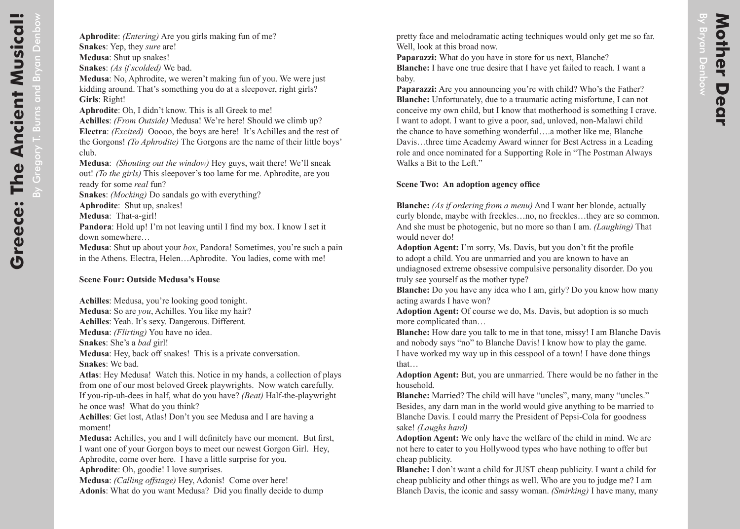pretty face and melodramatic acting techniques would only get me so far. Well, look at this broad now.

Paparazzi: What do you have in store for us next, Blanche? **Blanche:** I have one true desire that I have yet failed to reach. I want a baby.

**Paparazzi:** Are you announcing you're with child? Who's the Father? **Blanche:** Unfortunately, due to a traumatic acting misfortune, I can not conceive my own child, but I know that motherhood is something I crave. I want to adopt. I want to give a poor, sad, unloved, non-Malawi child the chance to have something wonderful….a mother like me, Blanche Davis…three time Academy Award winner for Best Actress in a Leading role and once nominated for a Supporting Role in "The Postman Always Walks a Bit to the Left."

## **Scene Two: An adoption agency office**

**Blanche:** *(As if ordering from a menu)* And I want her blonde, actually curly blonde, maybe with freckles…no, no freckles…they are so common. And she must be photogenic, but no more so than I am. *(Laughing)* That would never do!

**Adoption Agent:** I'm sorry, Ms. Davis, but you don't fit the profile to adopt a child. You are unmarried and you are known to have an undiagnosed extreme obsessive compulsive personality disorder. Do you truly see yourself as the mother type?

**Blanche:** Do you have any idea who I am, girly? Do you know how many acting awards I have won?

**Adoption Agent:** Of course we do, Ms. Davis, but adoption is so much more complicated than…

**Blanche:** How dare you talk to me in that tone, missy! I am Blanche Davis and nobody says "no" to Blanche Davis! I know how to play the game. I have worked my way up in this cesspool of a town! I have done things that…

**Adoption Agent:** But, you are unmarried. There would be no father in the household.

**Blanche:** Married? The child will have "uncles", many, many "uncles." Besides, any darn man in the world would give anything to be married to Blanche Davis. I could marry the President of Pepsi-Cola for goodness sake! *(Laughs hard)*

**Adoption Agent:** We only have the welfare of the child in mind. We are not here to cater to you Hollywood types who have nothing to offer but cheap publicity.

**Blanche:** I don't want a child for JUST cheap publicity. I want a child for cheap publicity and other things as well. Who are you to judge me? I am Blanch Davis, the iconic and sassy woman. *(Smirking)* I have many, many